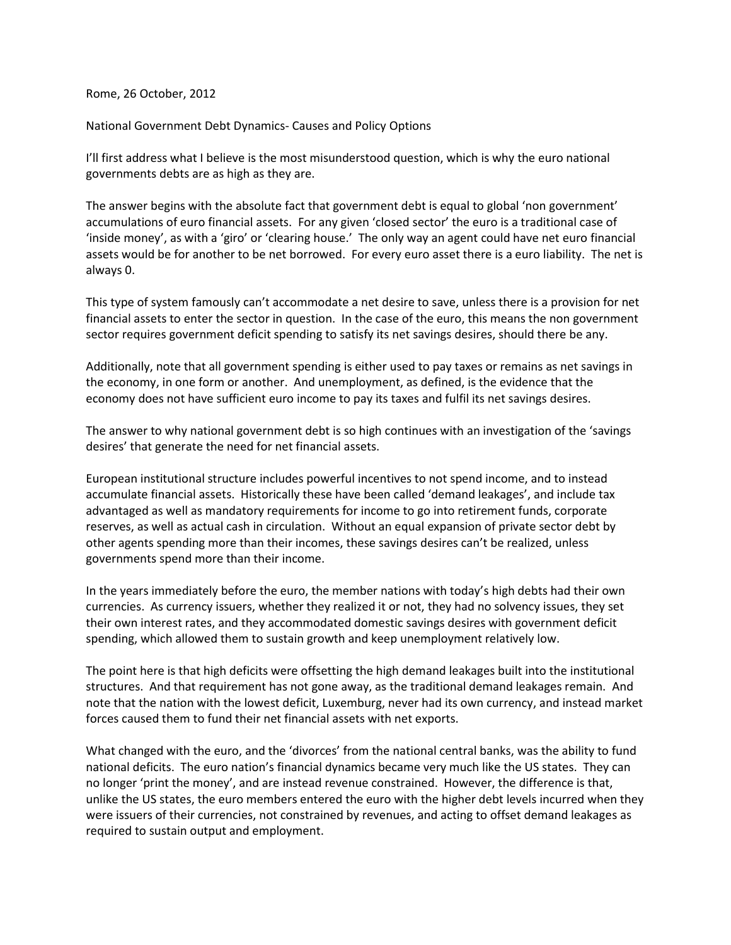Rome, 26 October, 2012

National Government Debt Dynamics- Causes and Policy Options

I'll first address what I believe is the most misunderstood question, which is why the euro national governments debts are as high as they are.

The answer begins with the absolute fact that government debt is equal to global 'non government' accumulations of euro financial assets. For any given 'closed sector' the euro is a traditional case of 'inside money', as with a 'giro' or 'clearing house.' The only way an agent could have net euro financial assets would be for another to be net borrowed. For every euro asset there is a euro liability. The net is always 0.

This type of system famously can't accommodate a net desire to save, unless there is a provision for net financial assets to enter the sector in question. In the case of the euro, this means the non government sector requires government deficit spending to satisfy its net savings desires, should there be any.

Additionally, note that all government spending is either used to pay taxes or remains as net savings in the economy, in one form or another. And unemployment, as defined, is the evidence that the economy does not have sufficient euro income to pay its taxes and fulfil its net savings desires.

The answer to why national government debt is so high continues with an investigation of the 'savings desires' that generate the need for net financial assets.

European institutional structure includes powerful incentives to not spend income, and to instead accumulate financial assets. Historically these have been called 'demand leakages', and include tax advantaged as well as mandatory requirements for income to go into retirement funds, corporate reserves, as well as actual cash in circulation. Without an equal expansion of private sector debt by other agents spending more than their incomes, these savings desires can't be realized, unless governments spend more than their income.

In the years immediately before the euro, the member nations with today's high debts had their own currencies. As currency issuers, whether they realized it or not, they had no solvency issues, they set their own interest rates, and they accommodated domestic savings desires with government deficit spending, which allowed them to sustain growth and keep unemployment relatively low.

The point here is that high deficits were offsetting the high demand leakages built into the institutional structures. And that requirement has not gone away, as the traditional demand leakages remain. And note that the nation with the lowest deficit, Luxemburg, never had its own currency, and instead market forces caused them to fund their net financial assets with net exports.

What changed with the euro, and the 'divorces' from the national central banks, was the ability to fund national deficits. The euro nation's financial dynamics became very much like the US states. They can no longer 'print the money', and are instead revenue constrained. However, the difference is that, unlike the US states, the euro members entered the euro with the higher debt levels incurred when they were issuers of their currencies, not constrained by revenues, and acting to offset demand leakages as required to sustain output and employment.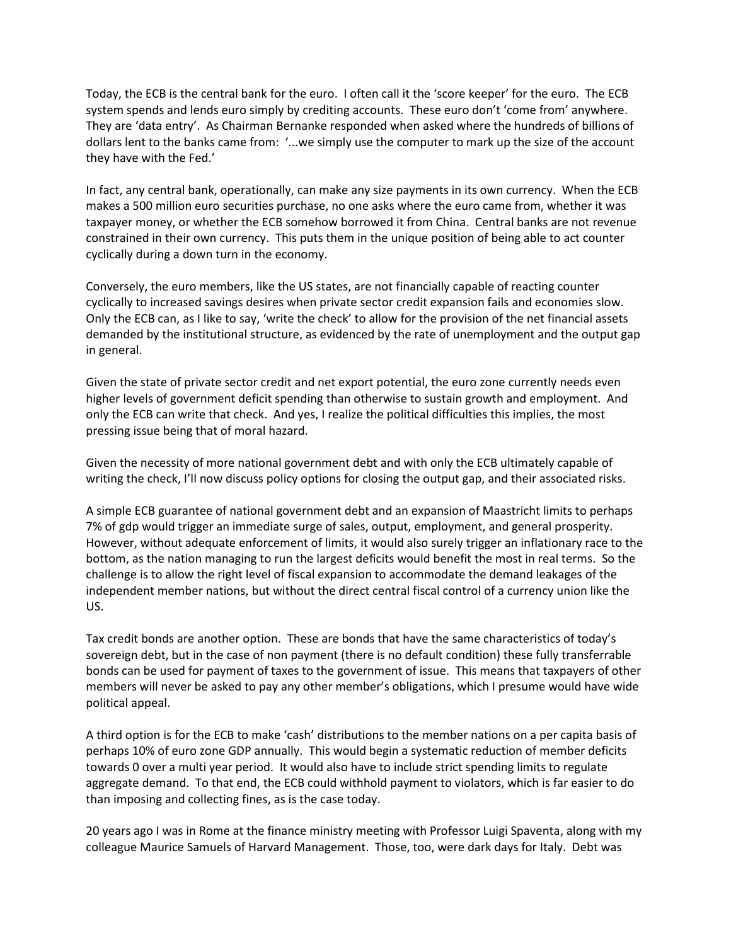Today, the ECB is the central bank for the euro. I often call it the 'score keeper' for the euro. The ECB system spends and lends euro simply by crediting accounts. These euro don't 'come from' anywhere. They are 'data entry'. As Chairman Bernanke responded when asked where the hundreds of billions of dollars lent to the banks came from: '...we simply use the computer to mark up the size of the account they have with the Fed.'

In fact, any central bank, operationally, can make any size payments in its own currency. When the ECB makes a 500 million euro securities purchase, no one asks where the euro came from, whether it was taxpayer money, or whether the ECB somehow borrowed it from China. Central banks are not revenue constrained in their own currency. This puts them in the unique position of being able to act counter cyclically during a down turn in the economy.

Conversely, the euro members, like the US states, are not financially capable of reacting counter cyclically to increased savings desires when private sector credit expansion fails and economies slow. Only the ECB can, as I like to say, 'write the check' to allow for the provision of the net financial assets demanded by the institutional structure, as evidenced by the rate of unemployment and the output gap in general.

Given the state of private sector credit and net export potential, the euro zone currently needs even higher levels of government deficit spending than otherwise to sustain growth and employment. And only the ECB can write that check. And yes, I realize the political difficulties this implies, the most pressing issue being that of moral hazard.

Given the necessity of more national government debt and with only the ECB ultimately capable of writing the check, I'll now discuss policy options for closing the output gap, and their associated risks.

A simple ECB guarantee of national government debt and an expansion of Maastricht limits to perhaps 7% of gdp would trigger an immediate surge of sales, output, employment, and general prosperity. However, without adequate enforcement of limits, it would also surely trigger an inflationary race to the bottom, as the nation managing to run the largest deficits would benefit the most in real terms. So the challenge is to allow the right level of fiscal expansion to accommodate the demand leakages of the independent member nations, but without the direct central fiscal control of a currency union like the US.

Tax credit bonds are another option. These are bonds that have the same characteristics of today's sovereign debt, but in the case of non payment (there is no default condition) these fully transferrable bonds can be used for payment of taxes to the government of issue. This means that taxpayers of other members will never be asked to pay any other member's obligations, which I presume would have wide political appeal.

A third option is for the ECB to make 'cash' distributions to the member nations on a per capita basis of perhaps 10% of euro zone GDP annually. This would begin a systematic reduction of member deficits towards 0 over a multi year period. It would also have to include strict spending limits to regulate aggregate demand. To that end, the ECB could withhold payment to violators, which is far easier to do than imposing and collecting fines, as is the case today.

20 years ago I was in Rome at the finance ministry meeting with Professor Luigi Spaventa, along with my colleague Maurice Samuels of Harvard Management. Those, too, were dark days for Italy. Debt was